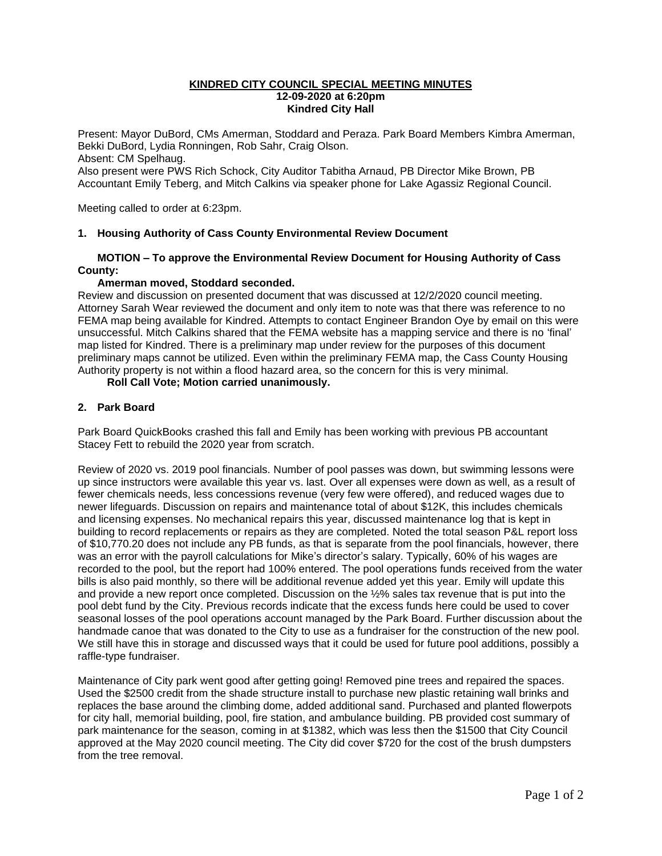### **KINDRED CITY COUNCIL SPECIAL MEETING MINUTES 12-09-2020 at 6:20pm Kindred City Hall**

Present: Mayor DuBord, CMs Amerman, Stoddard and Peraza. Park Board Members Kimbra Amerman, Bekki DuBord, Lydia Ronningen, Rob Sahr, Craig Olson. Absent: CM Spelhaug.

Also present were PWS Rich Schock, City Auditor Tabitha Arnaud, PB Director Mike Brown, PB Accountant Emily Teberg, and Mitch Calkins via speaker phone for Lake Agassiz Regional Council.

Meeting called to order at 6:23pm.

### **1. Housing Authority of Cass County Environmental Review Document**

# **MOTION – To approve the Environmental Review Document for Housing Authority of Cass County:**

# **Amerman moved, Stoddard seconded.**

Review and discussion on presented document that was discussed at 12/2/2020 council meeting. Attorney Sarah Wear reviewed the document and only item to note was that there was reference to no FEMA map being available for Kindred. Attempts to contact Engineer Brandon Oye by email on this were unsuccessful. Mitch Calkins shared that the FEMA website has a mapping service and there is no 'final' map listed for Kindred. There is a preliminary map under review for the purposes of this document preliminary maps cannot be utilized. Even within the preliminary FEMA map, the Cass County Housing Authority property is not within a flood hazard area, so the concern for this is very minimal.

# **Roll Call Vote; Motion carried unanimously.**

# **2. Park Board**

Park Board QuickBooks crashed this fall and Emily has been working with previous PB accountant Stacey Fett to rebuild the 2020 year from scratch.

Review of 2020 vs. 2019 pool financials. Number of pool passes was down, but swimming lessons were up since instructors were available this year vs. last. Over all expenses were down as well, as a result of fewer chemicals needs, less concessions revenue (very few were offered), and reduced wages due to newer lifeguards. Discussion on repairs and maintenance total of about \$12K, this includes chemicals and licensing expenses. No mechanical repairs this year, discussed maintenance log that is kept in building to record replacements or repairs as they are completed. Noted the total season P&L report loss of \$10,770.20 does not include any PB funds, as that is separate from the pool financials, however, there was an error with the payroll calculations for Mike's director's salary. Typically, 60% of his wages are recorded to the pool, but the report had 100% entered. The pool operations funds received from the water bills is also paid monthly, so there will be additional revenue added yet this year. Emily will update this and provide a new report once completed. Discussion on the ½% sales tax revenue that is put into the pool debt fund by the City. Previous records indicate that the excess funds here could be used to cover seasonal losses of the pool operations account managed by the Park Board. Further discussion about the handmade canoe that was donated to the City to use as a fundraiser for the construction of the new pool. We still have this in storage and discussed ways that it could be used for future pool additions, possibly a raffle-type fundraiser.

Maintenance of City park went good after getting going! Removed pine trees and repaired the spaces. Used the \$2500 credit from the shade structure install to purchase new plastic retaining wall brinks and replaces the base around the climbing dome, added additional sand. Purchased and planted flowerpots for city hall, memorial building, pool, fire station, and ambulance building. PB provided cost summary of park maintenance for the season, coming in at \$1382, which was less then the \$1500 that City Council approved at the May 2020 council meeting. The City did cover \$720 for the cost of the brush dumpsters from the tree removal.